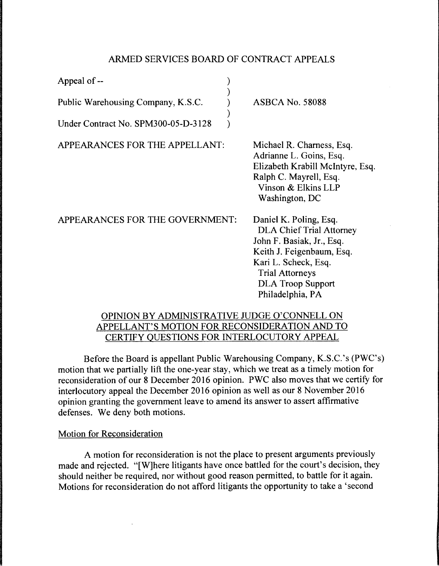## ARMED SERVICES BOARD OF CONTRACT APPEALS

) ) ) ) )

| Appeal of --                        |  |
|-------------------------------------|--|
| Public Warehousing Company, K.S.C.  |  |
| Under Contract No. SPM300-05-D-3128 |  |

ASBCA No. 58088

APPEARANCES FOR THE APPELLANT:

Michael R. Charness, Esq. Adrianne L. Goins, Esq. Elizabeth Krabill Mcintyre, Esq. Ralph C. Mayrell, Esq. Vinson & Elkins LLP Washington, DC

| APPEARANCES FOR THE GOVERNMENT: | Daniel K. Poling, Esq.          |
|---------------------------------|---------------------------------|
|                                 | <b>DLA Chief Trial Attorney</b> |
|                                 | John F. Basiak, Jr., Esq.       |
|                                 | Keith J. Feigenbaum, Esq.       |
|                                 | Kari L. Scheck, Esq.            |
|                                 | <b>Trial Attorneys</b>          |
|                                 | <b>DLA Troop Support</b>        |
|                                 | Philadelphia, PA                |

## OPINION BY ADMINISTRATIVE JUDGE O'CONNELL ON APPELLANT'S MOTION FOR RECONSIDERATION AND TO CERTIFY QUESTIONS FOR INTERLOCUTORY APPEAL

Before the Board is appellant Public Warehousing Company, K.S.C. 's (PWC's) motion that we partially lift the one-year stay, which we treat as a timely motion for reconsideration of our 8 December 2016 opinion. PWC also moves that we certify for interlocutory appeal the December 2016 opinion as well as our 8 November 2016 opinion granting the government leave to amend its answer to assert affirmative defenses. We deny both motions.

## Motion for Reconsideration

A motion for reconsideration is not the place to present arguments previously made and rejected. "[W]here litigants have once battled for the court's decision, they should neither be required, nor without good reason permitted, to battle for it again. Motions for reconsideration do not afford litigants the opportunity to take a 'second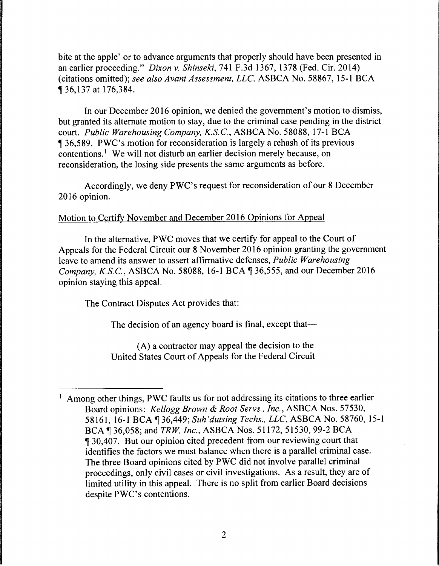bite at the apple' or to advance arguments that properly should have been presented in an earlier proceeding." *Dixon v. Shinseki,* 741 F.3d 1367, 1378 (Fed. Cir. 2014) (citations omitted); *see also Avant Assessment, LLC,* ASBCA No. 58867, 15-1 BCA ii 36,137 at 176,384.

In our December 2016 opinion, we denied the government's motion to dismiss, but granted its alternate motion to stay, due to the criminal case pending in the district court. *Public Warehousing Company, K.S.C.,* ASBCA No. 58088, 17-1 BCA **Jet 36,589. PWC's motion for reconsideration is largely a rehash of its previous** contentions.<sup>1</sup> We will not disturb an earlier decision merely because, on reconsideration, the losing side presents the same arguments as before.

Accordingly, we deny PWC's request for reconsideration of our 8 December 2016 opinion.

## Motion to Certify November and December 2016 Opinions for Appeal

In the alternative, PWC moves that we certify for appeal to the Court of Appeals for the Federal Circuit our 8 November 2016 opinion granting the government leave to amend its answer to assert affirmative defenses, *Public Warehousing Company, K.S.C., ASBCA No.* 58088, 16-1 BCA ¶ 36,555, and our December 2016 opinion staying this appeal.

The Contract Disputes Act provides that:

The decision of an agency board is final, except that—

(A) a contractor may appeal the decision to the United States Court of Appeals for the Federal Circuit

<sup>&</sup>lt;sup>1</sup> Among other things, PWC faults us for not addressing its citations to three earlier Board opinions: *Kellogg Brown* & *Root Servs., Inc.,* ASBCA Nos. 57530, 58161, 16-1 BCA 136,449; Suh'dutsing Techs., LLC, ASBCA No. 58760, 15-1 BCA ¶ 36,058; and *TRW, Inc.*, ASBCA Nos. 51172, 51530, 99-2 BCA **1** 30,407. But our opinion cited precedent from our reviewing court that identifies the factors we must balance when there is a parallel criminal case. The three Board opinions cited by PWC did not involve parallel criminal proceedings, only civil cases or civil investigations. As a result, they are of limited utility in this appeal. There is no split from earlier Board decisions despite PWC's contentions.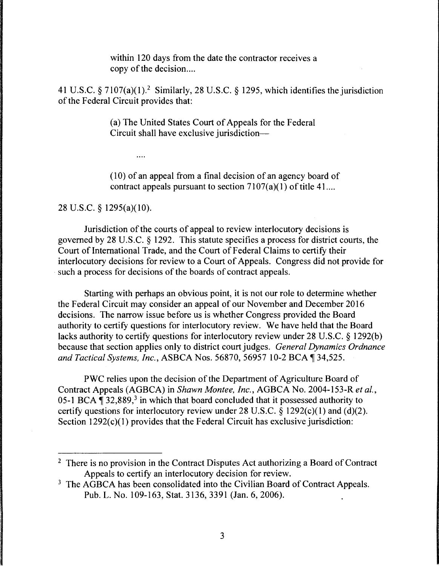within 120 days from the date the contractor receives a copy of the decision....

41 U.S.C.  $\frac{5}{7}$  7107(a)(1).<sup>2</sup> Similarly, 28 U.S.C.  $\frac{5}{7}$  1295, which identifies the jurisdiction of the Federal Circuit provides that:

> (a) The United States Court of Appeals for the Federal Circuit shall have exclusive jurisdiction-

 $(10)$  of an appeal from a final decision of an agency board of contract appeals pursuant to section  $7107(a)(1)$  of title 41...

28 U.S.C. § 1295(a)(l0).

 $\cdots$ 

Jurisdiction of the courts of appeal to review interlocutory decisions is governed by 28 U.S.C. § 1292. This statute specifies a process for district courts, the Court of International Trade, and the Court of Federal Claims to certify their interlocutory decisions for review to a Court of Appeals. Congress did not provide for such a process for decisions of the boards of contract appeals.

Starting with perhaps an obvious point, it is not our role to determine whether the Federal Circuit may consider an appeal of our November and December 2016 decisions. The narrow issue before us is whether Congress provided the Board authority to certify questions for interlocutory review. We have held that the Board lacks authority to certify questions for interlocutory review under 28 U.S.C. § 1292(b) because that section applies only to district court judges. *General Dynamics Ordnance*  and Tactical Systems, Inc., ASBCA Nos. 56870, 56957 10-2 BCA ¶ 34,525.

PWC relies upon the decision of the Department of Agriculture Board of Contract Appeals (AGBCA) in *Shawn Montee, Inc.,* AGBCA No. 2004-153-R *et al.,*  05-1 BCA  $\P$  32,889,<sup>3</sup> in which that board concluded that it possessed authority to certify questions for interlocutory review under 28 U.S.C.  $\S$  1292(c)(1) and (d)(2). Section  $1292(c)(1)$  provides that the Federal Circuit has exclusive jurisdiction:

<sup>&</sup>lt;sup>2</sup> There is no provision in the Contract Disputes Act authorizing a Board of Contract Appeals to certify an interlocutory decision for review.

<sup>&</sup>lt;sup>3</sup> The AGBCA has been consolidated into the Civilian Board of Contract Appeals. Pub. L. No. 109-163, Stat. 3136, 3391 (Jan. 6, 2006).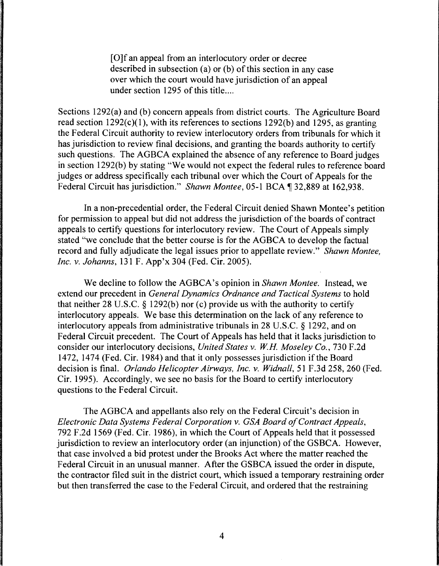[O]f an appeal from an interlocutory order or decree described in subsection (a) or (b) of this section in any case over which the court would have jurisdiction of an appeal under section 1295 of this title....

Sections 1292(a) and (b) concern appeals from district courts. The Agriculture Board read section  $1292(c)(1)$ , with its references to sections  $1292(b)$  and  $1295$ , as granting the Federal Circuit authority to review interlocutory orders from tribunals for which it has jurisdiction to review final decisions, and granting the boards authority to certify such questions. The AGBCA explained the absence of any reference to Board judges in section 1292(b) by stating "We would not expect the federal rules to reference board judges or address specifically each tribunal over which the Court of Appeals for the Federal Circuit has jurisdiction." *Shawn Montee*, 05-1 BCA 132,889 at 162,938.

In a non-precedential order, the Federal Circuit denied Shawn Montee's petition for permission to appeal but did not address the jurisdiction of the boards of contract appeals to certify questions for interlocutory review. The Court of Appeals simply stated "we conclude that the better course is for the AGBCA to develop the factual record and fully adjudicate the legal issues prior to appellate review." *Shawn Montee, Inc. v. Johanns,* 131 F. App'x 304 (Fed. Cir. 2005).

We decline to follow the AGBCA's opinion in *Shawn Montee.* Instead, we extend our precedent in *General Dynamics Ordnance and Tactical Systems* to hold that neither 28 U.S.C.  $\S$  1292(b) nor (c) provide us with the authority to certify interlocutory appeals. We base this determination on the lack of any reference to interlocutory appeals from administrative tribunals in 28 U.S.C. § 1292, and on Federal Circuit precedent. The Court of Appeals has held that it lacks jurisdiction to consider our interlocutory decisions, *United States v. WH Moseley Co.,* 730 F.2d 1472, 1474 (Fed. Cir. 1984) and that it only possesses jurisdiction if the Board decision is final. *Orlando Helicopter Airways, Inc. v. Widnall,* 51 F .3d 258, 260 (Fed. Cir. 1995). Accordingly, we see no basis for the Board to certify interlocutory questions to the Federal Circuit.

The AGBCA and appellants also rely on the Federal Circuit's decision in *Electronic Data Systems Federal Corporation v. GSA Board of Contract Appeals,*  792 F.2d 1569 (Fed. Cir. 1986), in which the Court of Appeals held that it possessed jurisdiction to review an interlocutory order (an injunction) of the GSBCA. However, that case involved a bid protest under the Brooks Act where the matter reached the Federal Circuit in an unusual manner. After the GSBCA issued the order in dispute, the contractor filed suit in the district court, which issued a temporary restraining order but then transferred the case to the Federal Circuit, and ordered that the restraining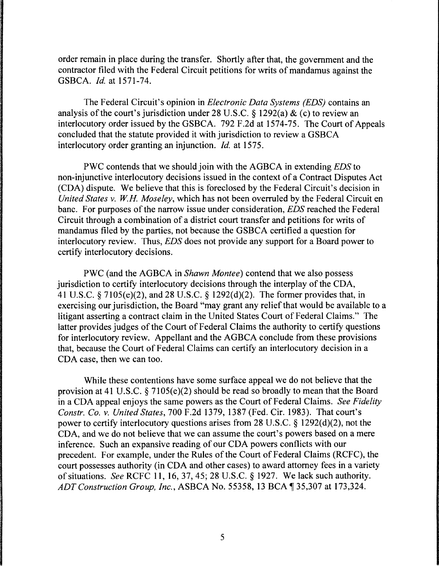order remain in place during the transfer. Shortly after that, the government and the contractor filed with the Federal Circuit petitions for writs of mandamus against the GSBCA. *Id.* at 1571-74.

The Federal Circuit's opinion in *Electronic Data Systems (EDS)* contains an analysis of the court's jurisdiction under 28 U.S.C. § 1292(a) & (c) to review an interlocutory order issued by the GSBCA. 792 F.2d at 1574-75. The Court of Appeals concluded that the statute provided it with jurisdiction to review a GSBCA interlocutory order granting an injunction. *Id.* at 1575.

PWC contends that we should join with the AGBCA in extending *EDS* to non-injunctive interlocutory decisions issued in the context of a Contract Disputes Act (CDA) dispute. We believe that this is foreclosed by the Federal Circuit's decision in *United States v. WH Moseley,* which has not been overruled by the Federal Circuit en bane. For purposes of the narrow issue under consideration, *EDS* reached the Federal Circuit through a combination of a district court transfer and petitions for writs of mandamus filed by the parties, not because the GSBCA certified a question for interlocutory review. Thus, *EDS* does not provide any support for a Board power to certify interlocutory decisions.

PWC (and the AGBCA in *Shawn Montee)* contend that we also possess jurisdiction to certify interlocutory decisions through the interplay of the CDA, 41 U.S.C. § 7105(e)(2), and 28 U.S.C. § 1292(d)(2). The former provides that, in exercising our jurisdiction, the Board "may grant any relief that would be available to a litigant asserting a contract claim in the United States Court of Federal Claims." The latter provides judges of the Court of Federal Claims the authority to certify questions for interlocutory review. Appellant and the AGBCA conclude from these provisions that, because the Court of Federal Claims can certify an interlocutory decision in a CDA case, then we can too.

While these contentions have some surface appeal we do not believe that the provision at 41 U.S.C. § 7105(e)(2) should be read so broadly to mean that the Board in a CDA appeal enjoys the same powers as the Court of Federal Claims. *See Fidelity Constr. Co. v. United States,* 700 F.2d 1379, 1387 (Fed. Cir. 1983). That court's power to certify interlocutory questions arises from 28 U.S.C. § 1292(d)(2), not the CDA, and we do not believe that we can assume the court's powers based on a mere inference. Such an expansive reading of our CDA powers conflicts with our precedent. For example, under the Rules of the Court of Federal Claims (RCFC), the court possesses authority (in CDA and other cases) to award attorney fees in a variety of situations. *See* RCFC 11, 16, 37, 45; 28 U.S.C. § 1927. We lack such authority. *ADT Construction Group, Inc., ASBCA No.* 55358, 13 BCA 135,307 at 173,324.